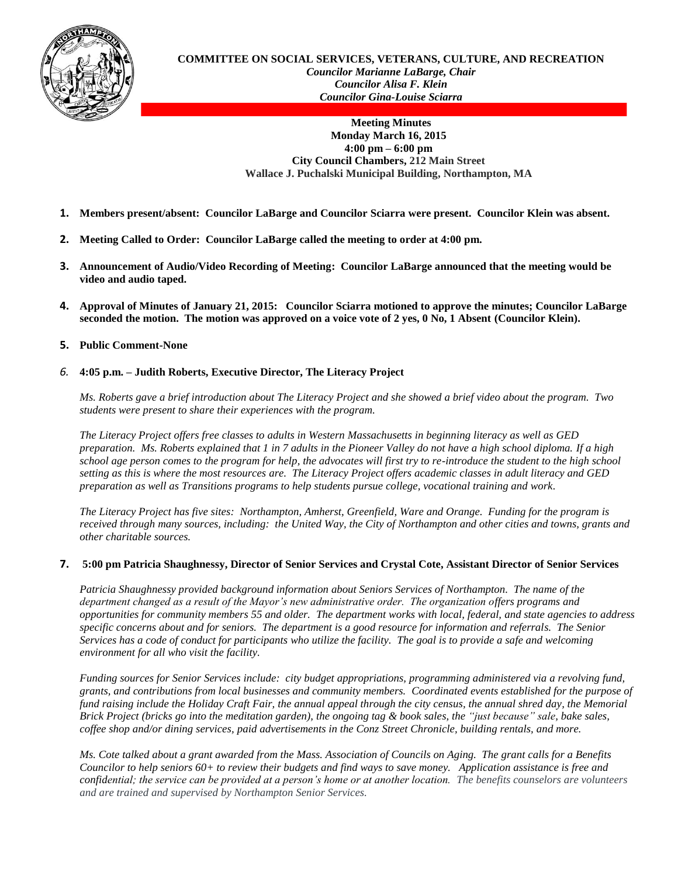

**COMMITTEE ON SOCIAL SERVICES, VETERANS, CULTURE, AND RECREATION** *Councilor Marianne LaBarge, Chair Councilor Alisa F. Klein Councilor Gina-Louise Sciarra*

> **Meeting Minutes Monday March 16, 2015 4:00 pm – 6:00 pm City Council Chambers, 212 Main Street Wallace J. Puchalski Municipal Building, Northampton, MA**

- **1. Members present/absent: Councilor LaBarge and Councilor Sciarra were present. Councilor Klein was absent.**
- **2. Meeting Called to Order: Councilor LaBarge called the meeting to order at 4:00 pm.**
- **3. Announcement of Audio/Video Recording of Meeting: Councilor LaBarge announced that the meeting would be video and audio taped.**
- **4. Approval of Minutes of January 21, 2015: Councilor Sciarra motioned to approve the minutes; Councilor LaBarge seconded the motion. The motion was approved on a voice vote of 2 yes, 0 No, 1 Absent (Councilor Klein).**

## **5. Public Comment-None**

## *6.* **4:05 p.m. – Judith Roberts, Executive Director, The Literacy Project**

*Ms. Roberts gave a brief introduction about The Literacy Project and she showed a brief video about the program. Two students were present to share their experiences with the program.* 

*The Literacy Project offers free classes to adults in Western Massachusetts in beginning literacy as well as GED preparation. Ms. Roberts explained that 1 in 7 adults in the Pioneer Valley do not have a high school diploma. If a high school age person comes to the program for help, the advocates will first try to re-introduce the student to the high school setting as this is where the most resources are. The Literacy Project offers academic classes in adult literacy and GED preparation as well as Transitions programs to help students pursue college, vocational training and work.*

*The Literacy Project has five sites: Northampton, Amherst, Greenfield, Ware and Orange. Funding for the program is received through many sources, including: the United Way, the City of Northampton and other cities and towns, grants and other charitable sources.*

## **7. 5:00 pm Patricia Shaughnessy, Director of Senior Services and Crystal Cote, Assistant Director of Senior Services**

*Patricia Shaughnessy provided background information about Seniors Services of Northampton. The name of the department changed as a result of the Mayor's new administrative order. The organization offers programs and opportunities for community members 55 and older. The department works with local, federal, and state agencies to address specific concerns about and for seniors. The department is a good resource for information and referrals. The Senior Services has a code of conduct for participants who utilize the facility. The goal is to provide a safe and welcoming environment for all who visit the facility.*

*Funding sources for Senior Services include: city budget appropriations, programming administered via a revolving fund, grants, and contributions from local businesses and community members. Coordinated events established for the purpose of fund raising include the Holiday Craft Fair, the annual appeal through the city census, the annual shred day, the Memorial Brick Project (bricks go into the meditation garden), the ongoing tag & book sales, the "just because" sale, bake sales, coffee shop and/or dining services, paid advertisements in the Conz Street Chronicle, building rentals, and more.*

*Ms. Cote talked about a grant awarded from the Mass. Association of Councils on Aging. The grant calls for a Benefits Councilor to help seniors 60+ to review their budgets and find ways to save money. Application assistance is free and confidential; the service can be provided at a person's home or at another location. The benefits counselors are volunteers and are trained and supervised by Northampton Senior Services.*